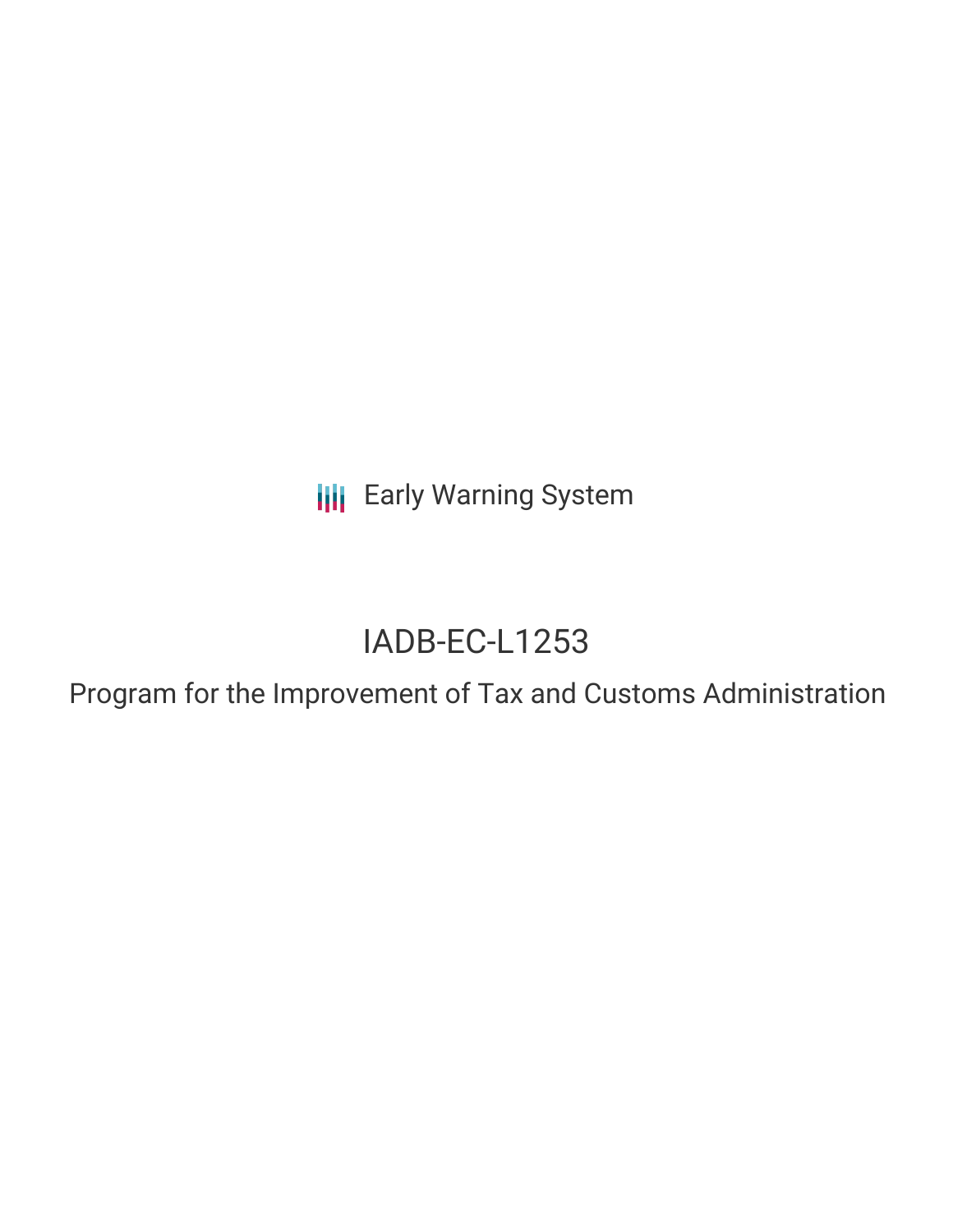**III** Early Warning System

# IADB-EC-L1253

Program for the Improvement of Tax and Customs Administration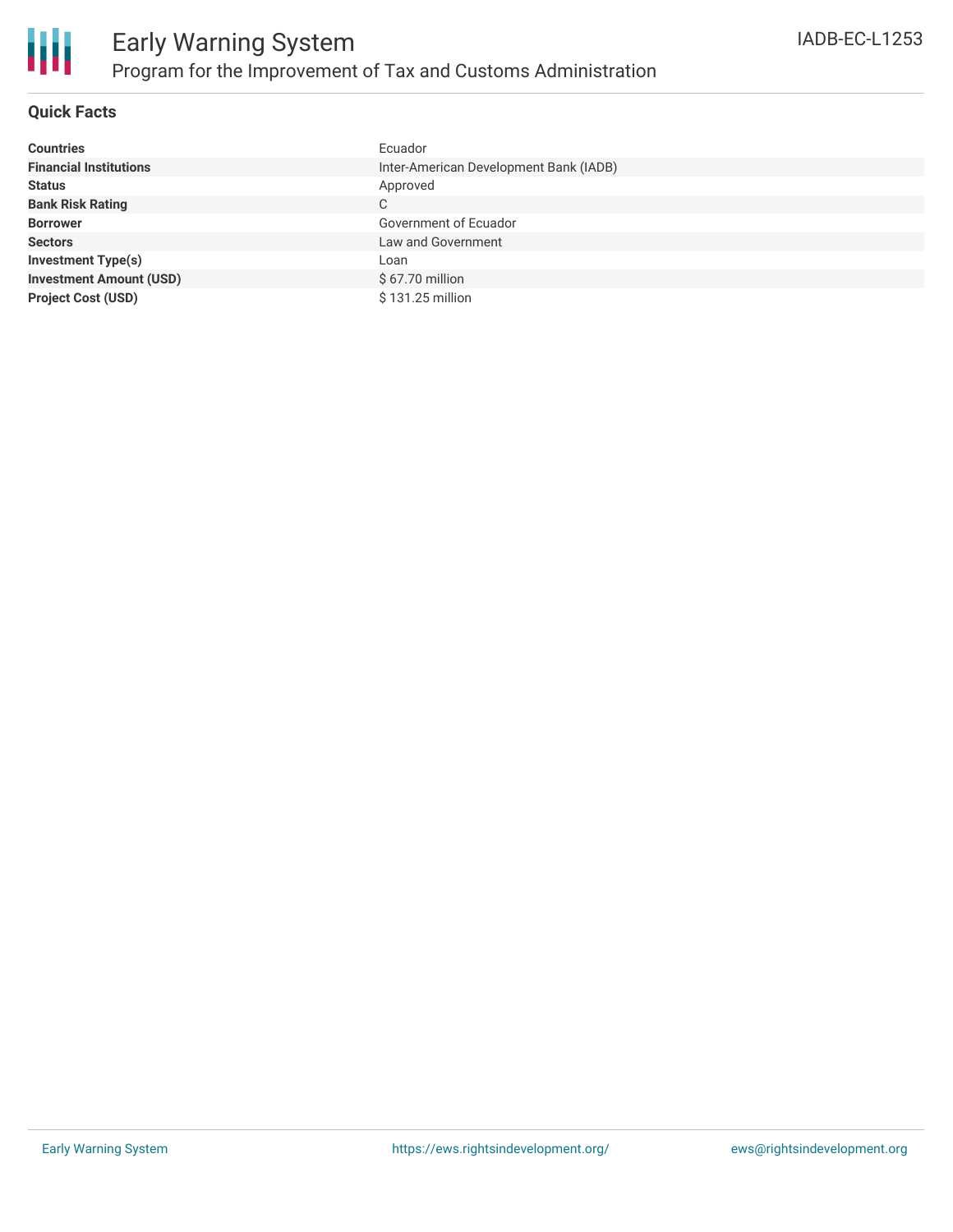

## **Quick Facts**

| <b>Countries</b>               | Ecuador                                |
|--------------------------------|----------------------------------------|
| <b>Financial Institutions</b>  | Inter-American Development Bank (IADB) |
| <b>Status</b>                  | Approved                               |
| <b>Bank Risk Rating</b>        | C                                      |
| <b>Borrower</b>                | Government of Ecuador                  |
| <b>Sectors</b>                 | Law and Government                     |
| <b>Investment Type(s)</b>      | Loan                                   |
| <b>Investment Amount (USD)</b> | \$67.70 million                        |
| <b>Project Cost (USD)</b>      | \$131.25 million                       |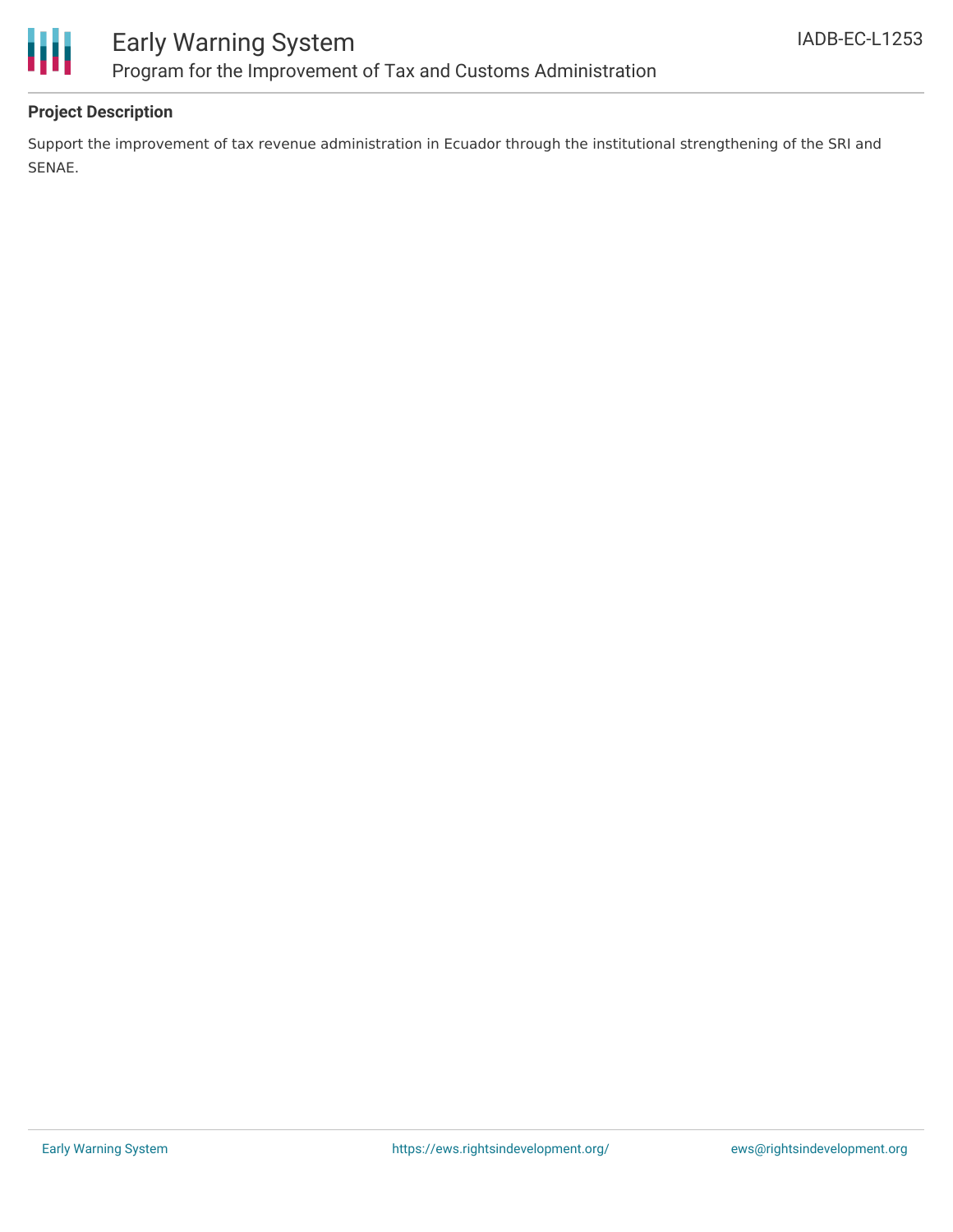

# **Project Description**

Support the improvement of tax revenue administration in Ecuador through the institutional strengthening of the SRI and SENAE.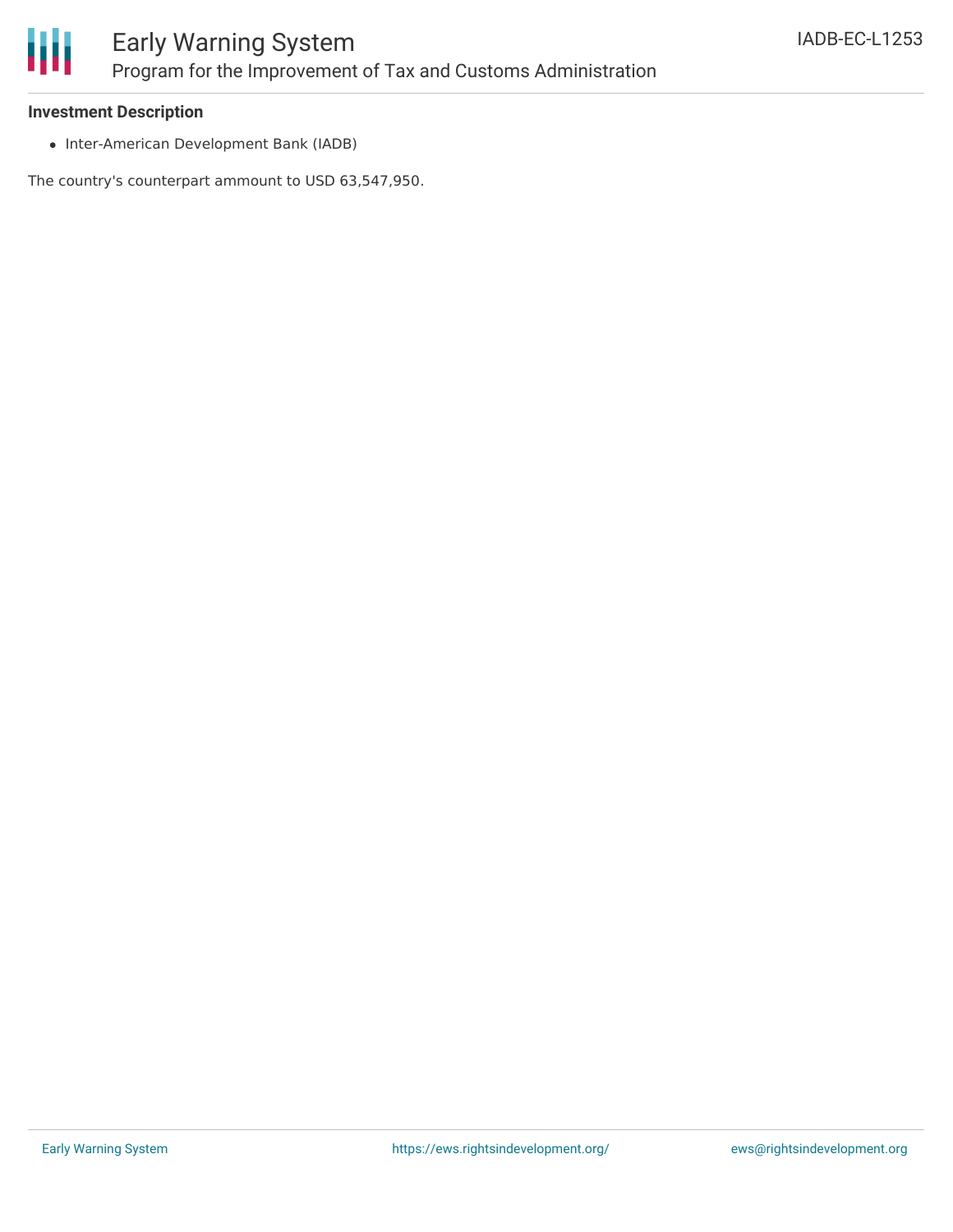

#### **Investment Description**

• Inter-American Development Bank (IADB)

The country's counterpart ammount to USD 63,547,950.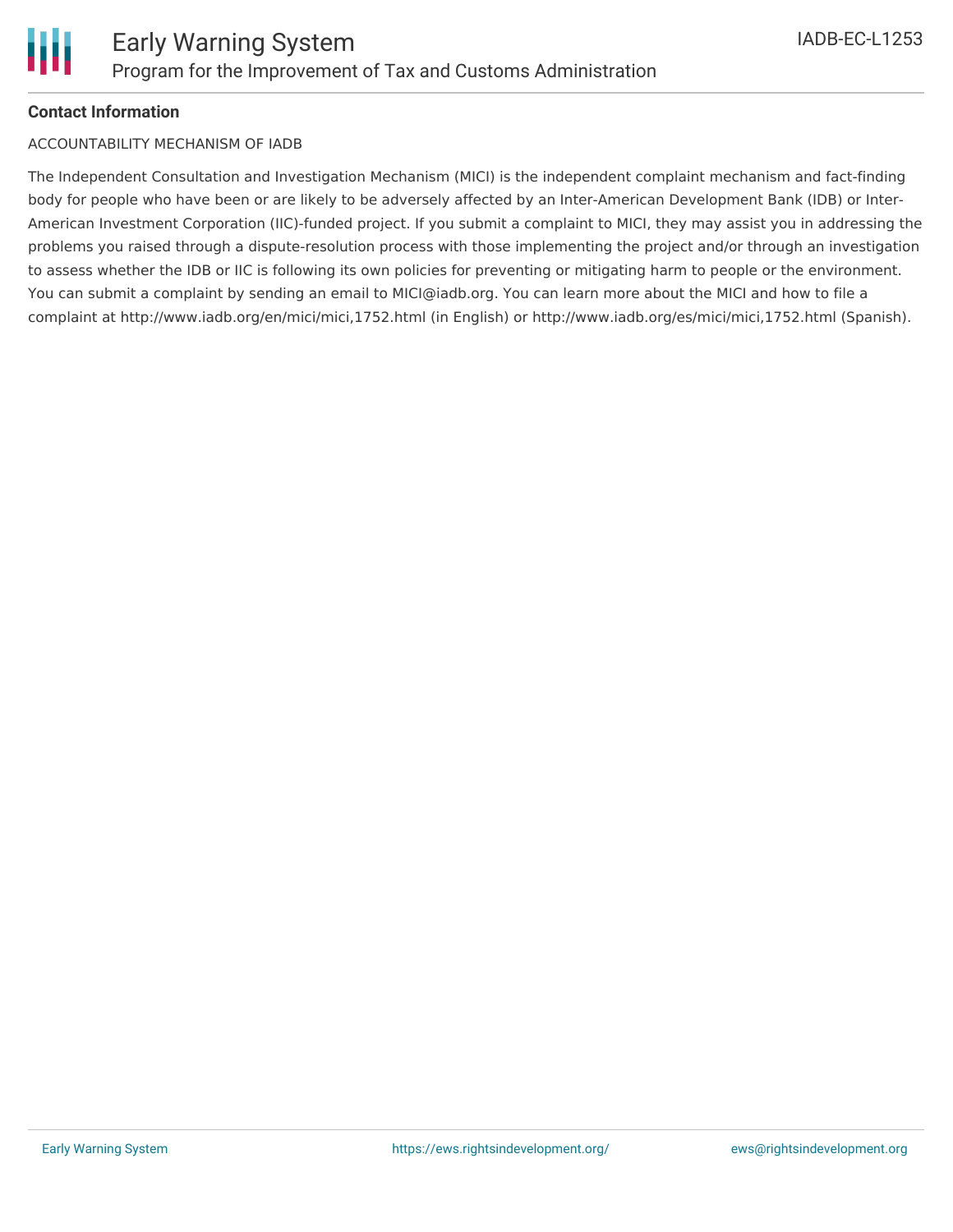# **Contact Information**

### ACCOUNTABILITY MECHANISM OF IADB

The Independent Consultation and Investigation Mechanism (MICI) is the independent complaint mechanism and fact-finding body for people who have been or are likely to be adversely affected by an Inter-American Development Bank (IDB) or Inter-American Investment Corporation (IIC)-funded project. If you submit a complaint to MICI, they may assist you in addressing the problems you raised through a dispute-resolution process with those implementing the project and/or through an investigation to assess whether the IDB or IIC is following its own policies for preventing or mitigating harm to people or the environment. You can submit a complaint by sending an email to MICI@iadb.org. You can learn more about the MICI and how to file a complaint at http://www.iadb.org/en/mici/mici,1752.html (in English) or http://www.iadb.org/es/mici/mici,1752.html (Spanish).